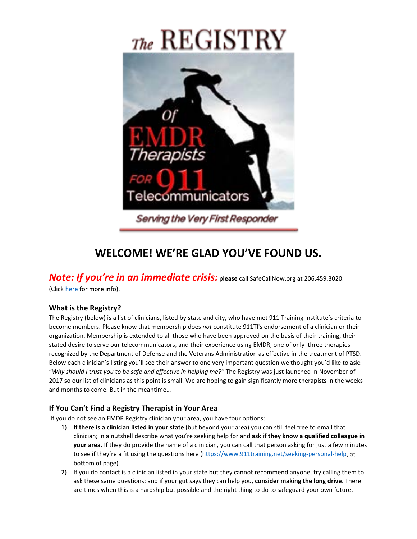# $T$ he REGISTRY



## **WELCOME! WE'RE GLAD YOU'VE FOUND US.**

*Note: If you're in an immediate crisis:* **please** call SafeCallNow.org at 206.459.3020.

(Click [here](http://www.safecallnow.org/) for more info).

#### **What is the Registry?**

The Registry (below) is a list of clinicians, listed by state and city, who have met 911 Training Institute's criteria to become members. Please know that membership does *not* constitute 911TI's endorsement of a clinician or their organization. Membership is extended to all those who have been approved on the basis of their training, their stated desire to serve our telecommunicators, and their experience using EMDR, one of only three therapies recognized by the Department of Defense and the Veterans Administration as effective in the treatment of PTSD. Below each clinician's listing you'll see their answer to one very important question we thought you'd like to ask: "*Why should I trust you to be safe and effective in helping me?"* The Registry was just launched in November of 2017 so our list of clinicians as this point is small. We are hoping to gain significantly more therapists in the weeks and months to come. But in the meantime…

#### **If You Can't Find a Registry Therapist in Your Area**

If you do not see an EMDR Registry clinician your area, you have four options:

- 1) **If there is a clinician listed in your state** (but beyond your area) you can still feel free to email that clinician; in a nutshell describe what you're seeking help for and **ask if they know a qualified colleague in your area.** If they do provide the name of a clinician, you can call that person asking for just a few minutes to see if they're a fit using the questions here [\(https://www.911training.net/seeking-personal-help,](https://www.911training.net/seeking-personal-help) at bottom of page).
- 2) If you do contact is a clinician listed in your state but they cannot recommend anyone, try calling them to ask these same questions; and if your gut says they can help you, **consider making the long drive**. There are times when this is a hardship but possible and the right thing to do to safeguard your own future.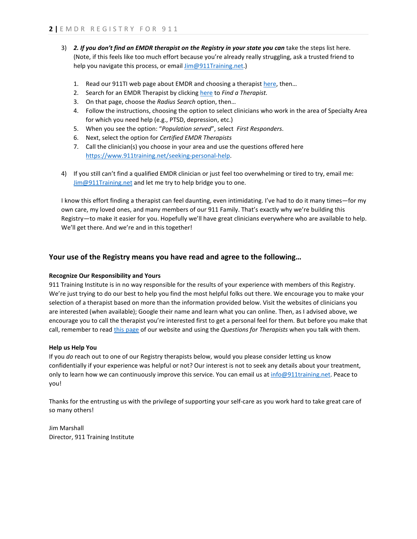- 3) *2. If you don't find an EMDR therapist on the Registry in your state you can* take the steps list here. (Note, if this feels like too much effort because you're already really struggling, ask a trusted friend to help you navigate this process, or email [Jim@911Training.net.\)](mailto:Jim@911Training.net)
	- 1. Read our 911TI web page about EMDR and choosing a therapist [here,](https://www.911training.net/seeking-personal-help) then…
	- 2. Search for an EMDR Therapist by clicking [here](http://emdria.site-ym.com/general/custom.asp?page=FaTmain) to *Find a Therapist.*
	- 3. On that page, choose the *Radius Search* option, then…
	- 4. Follow the instructions, choosing the option to select clinicians who work in the area of Specialty Area for which you need help (e.g., PTSD, depression, etc.)
	- 5. When you see the option: "*Population served*", select *First Responders*.
	- 6. Next, select the option for *Certified EMDR Therapists*
	- 7. Call the clinician(s) you choose in your area and use the questions offered here [https://www.911training.net/seeking-personal-help.](https://www.911training.net/seeking-personal-help)
- 4) If you still can't find a qualified EMDR clinician or just feel too overwhelming or tired to try, email me: [Jim@911Training.net](mailto:Jim@911Training.net) and let me try to help bridge you to one.

I know this effort finding a therapist can feel daunting, even intimidating. I've had to do it many times—for my own care, my loved ones, and many members of our 911 Family. That's exactly why we're building this Registry—to make it easier for you. Hopefully we'll have great clinicians everywhere who are available to help. We'll get there. And we're and in this together!

#### **Your use of the Registry means you have read and agree to the following…**

#### **Recognize Our Responsibility and Yours**

911 Training Institute is in no way responsible for the results of your experience with members of this Registry. We're just trying to do our best to help you find the most helpful folks out there. We encourage you to make your selection of a therapist based on more than the information provided below. Visit the websites of clinicians you are interested (when available); Google their name and learn what you can online. Then, as I advised above, we encourage you to call the therapist you're interested first to get a personal feel for them. But before you make that call, remember to read [this page](https://www.911training.net/seeking-personal-help) of our website and using the *Questions for Therapists* when you talk with them.

#### **Help us Help You**

If you *do* reach out to one of our Registry therapists below, would you please consider letting us know confidentially if your experience was helpful or not? Our interest is not to seek any details about your treatment, only to learn how we can continuously improve this service. You can email us at [info@911training.net.](mailto:info@911training.net) Peace to you!

Thanks for the entrusting us with the privilege of supporting your self-care as you work hard to take great care of so many others!

Jim Marshall Director, 911 Training Institute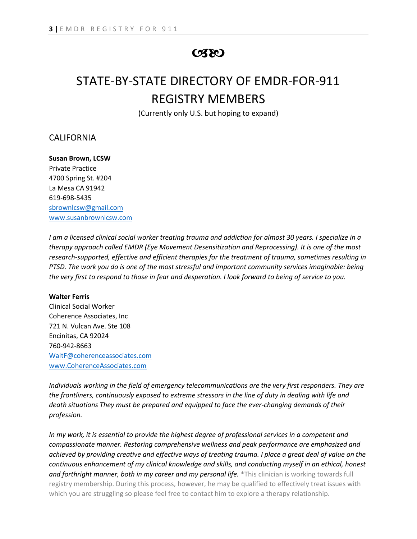### $C380$

# STATE-BY-STATE DIRECTORY OF EMDR-FOR-911 REGISTRY MEMBERS

(Currently only U.S. but hoping to expand)

#### CALIFORNIA

**Susan Brown, LCSW** Private Practice 4700 Spring St. #204 La Mesa CA 91942 619-698-5435 [sbrownlcsw@gmail.com](mailto:sbrownlcsw@gmail.com) [www.susanbrownlcsw.com](http://www.susanbrownlcsw.com/)

*I am a licensed clinical social worker treating trauma and addiction for almost 30 years. I specialize in a therapy approach called EMDR (Eye Movement Desensitization and Reprocessing). It is one of the most research-supported, effective and efficient therapies for the treatment of trauma, sometimes resulting in PTSD. The work you do is one of the most stressful and important community services imaginable: being the very first to respond to those in fear and desperation. I look forward to being of service to you.*

#### **Walter Ferris**

Clinical Social Worker Coherence Associates, Inc 721 N. Vulcan Ave. Ste 108 Encinitas, CA 92024 760-942-8663 [WaltF@coherenceassociates.com](mailto:WaltF@coherenceassociates.com) [www.CoherenceAssociates.com](http://www.coherenceassociates.com/)

*Individuals working in the field of emergency telecommunications are the very first responders. They are the frontliners, continuously exposed to extreme stressors in the line of duty in dealing with life and death situations They must be prepared and equipped to face the ever-changing demands of their profession.*

*In my work, it is essential to provide the highest degree of professional services in a competent and compassionate manner. Restoring comprehensive wellness and peak performance are emphasized and achieved by providing creative and effective ways of treating trauma. I place a great deal of value on the continuous enhancement of my clinical knowledge and skills, and conducting myself in an ethical, honest and forthright manner, both in my career and my personal life.* \*This clinician is working towards full registry membership. During this process, however, he may be qualified to effectively treat issues with which you are struggling so please feel free to contact him to explore a therapy relationship.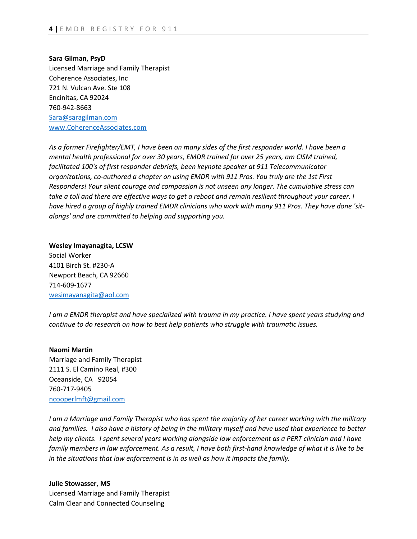**Sara Gilman, PsyD** Licensed Marriage and Family Therapist Coherence Associates, Inc 721 N. Vulcan Ave. Ste 108 Encinitas, CA 92024 760-942-8663 [Sara@saragilman.com](mailto:Sara@saragilman.com) [www.CoherenceAssociates.com](http://www.coherenceassociates.com/)

*As a former Firefighter/EMT, I have been on many sides of the first responder world. I have been a mental health professional for over 30 years, EMDR trained for over 25 years, am CISM trained, facilitated 100's of first responder debriefs, been keynote speaker at 911 Telecommunicator organizations, co-authored a chapter on using EMDR with 911 Pros. You truly are the 1st First Responders! Your silent courage and compassion is not unseen any longer. The cumulative stress can take a toll and there are effective ways to get a reboot and remain resilient throughout your career. I have hired a group of highly trained EMDR clinicians who work with many 911 Pros. They have done 'sitalongs' and are committed to helping and supporting you.*

**Wesley Imayanagita, LCSW** Social Worker 4101 Birch St. #230-A Newport Beach, CA 92660 714-609-1677 [wesimayanagita@aol.com](mailto:wesimayanagita@aol.com)

*I am a EMDR therapist and have specialized with trauma in my practice. I have spent years studying and continue to do research on how to best help patients who struggle with traumatic issues.*

#### **Naomi Martin**

Marriage and Family Therapist 2111 S. El Camino Real, #300 Oceanside, CA 92054 760-717-9405 [ncooperlmft@gmail.com](mailto:ncooperlmft@gmail.com)

*I am a Marriage and Family Therapist who has spent the majority of her career working with the military and families. I also have a history of being in the military myself and have used that experience to better help my clients. I spent several years working alongside law enforcement as a PERT clinician and I have family members in law enforcement. As a result, I have both first-hand knowledge of what it is like to be in the situations that law enforcement is in as well as how it impacts the family.*

**Julie Stowasser, MS** Licensed Marriage and Family Therapist Calm Clear and Connected Counseling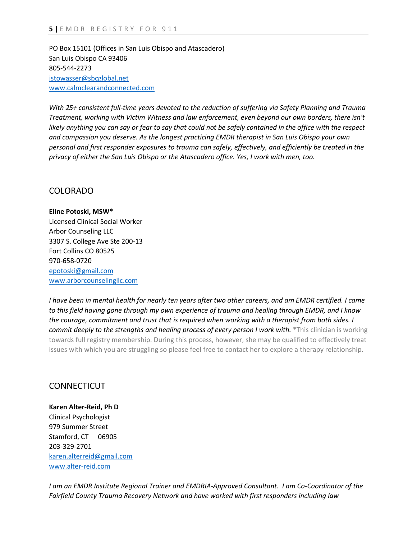PO Box 15101 (Offices in San Luis Obispo and Atascadero) San Luis Obispo CA 93406 805-544-2273 [jstowasser@sbcglobal.net](mailto:jstowasser@sbcglobal.net) [www.calmclearandconnected.com](http://www.calmclearandconnected.com/)

*With 25+ consistent full-time years devoted to the reduction of suffering via Safety Planning and Trauma Treatment, working with Victim Witness and law enforcement, even beyond our own borders, there isn't likely anything you can say or fear to say that could not be safely contained in the office with the respect and compassion you deserve. As the longest practicing EMDR therapist in San Luis Obispo your own personal and first responder exposures to trauma can safely, effectively, and efficiently be treated in the privacy of either the San Luis Obispo or the Atascadero office. Yes, I work with men, too.*

#### COLORADO

**Eline Potoski, MSW\*** Licensed Clinical Social Worker Arbor Counseling LLC 3307 S. College Ave Ste 200-13 Fort Collins CO 80525 970-658-0720 [epotoski@gmail.com](mailto:epotoski@gmail.com) [www.arborcounselingllc.com](http://www.arborcounselingllc.com/)

*I have been in mental health for nearly ten years after two other careers, and am EMDR certified. I came to this field having gone through my own experience of trauma and healing through EMDR, and I know the courage, commitment and trust that is required when working with a therapist from both sides. I commit deeply to the strengths and healing process of every person I work with.* \*This clinician is working towards full registry membership. During this process, however, she may be qualified to effectively treat issues with which you are struggling so please feel free to contact her to explore a therapy relationship.

#### **CONNECTICUT**

**Karen Alter-Reid, Ph D** Clinical Psychologist 979 Summer Street Stamford, CT 06905 203-329-2701 [karen.alterreid@gmail.com](mailto:karen.alterreid@gmail.com) [www.alter-reid.com](http://www.alter-reid.com/)

*I am an EMDR Institute Regional Trainer and EMDRIA-Approved Consultant. I am Co-Coordinator of the Fairfield County Trauma Recovery Network and have worked with first responders including law*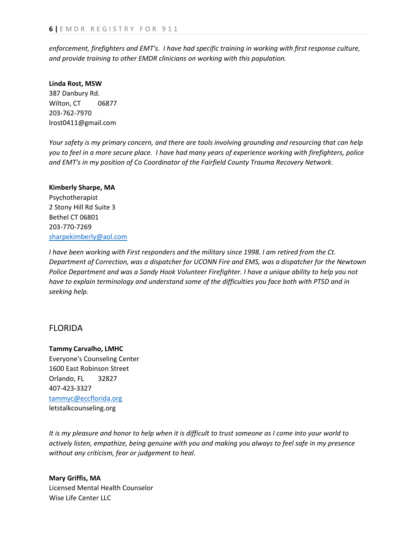*enforcement, firefighters and EMT's. I have had specific training in working with first response culture, and provide training to other EMDR clinicians on working with this population.*

#### **Linda Rost, MSW** 387 Danbury Rd. Wilton, CT 06877 203-762-7970 lrost0411@gmail.com

*Your safety is my primary concern, and there are tools involving grounding and resourcing that can help you to feel in a more secure place. I have had many years of experience working with firefighters, police and EMT's in my position of Co Coordinator of the Fairfield County Trauma Recovery Network.*

#### **Kimberly Sharpe, MA**

Psychotherapist 2 Stony Hill Rd Suite 3 Bethel CT 06801 203-770-7269 [sharpekimberly@aol.com](mailto:sharpekimberly@aol.com)

*I have been working with First responders and the military since 1998. I am retired from the Ct. Department of Correction, was a dispatcher for UCONN Fire and EMS, was a dispatcher for the Newtown Police Department and was a Sandy Hook Volunteer Firefighter. I have a unique ability to help you not have to explain terminology and understand some of the difficulties you face both with PTSD and in seeking help.*

#### FLORIDA

#### **Tammy Carvalho, LMHC**

Everyone's Counseling Center 1600 East Robinson Street Orlando, FL 32827 407-423-3327 [tammyc@eccflorida.org](mailto:tammyc@eccflorida.org) letstalkcounseling.org

*It is my pleasure and honor to help when it is difficult to trust someone as I come into your world to actively listen, empathize, being genuine with you and making you always to feel safe in my presence without any criticism, fear or judgement to heal.*

**Mary Griffis, MA** Licensed Mental Health Counselor Wise Life Center LLC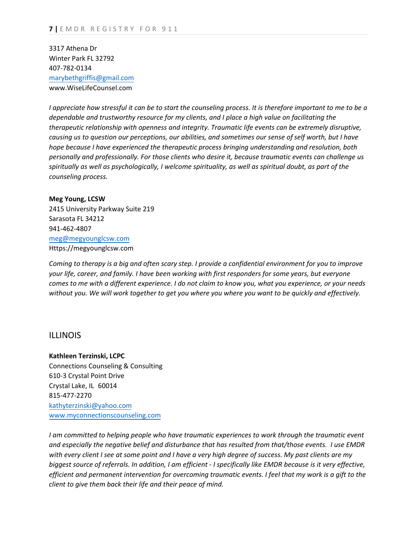3317 Athena Dr Winter Park FL 32792 407-782-0134 [marybethgriffis@gmail.com](mailto:marybethgriffis@gmail.com) www.WiseLifeCounsel.com

*I appreciate how stressful it can be to start the counseling process. It is therefore important to me to be a dependable and trustworthy resource for my clients, and I place a high value on facilitating the therapeutic relationship with openness and integrity. Traumatic life events can be extremely disruptive, causing us to question our perceptions, our abilities, and sometimes our sense of self worth, but I have hope because I have experienced the therapeutic process bringing understanding and resolution, both personally and professionally. For those clients who desire it, because traumatic events can challenge us spiritually as well as psychologically, I welcome spirituality, as well as spiritual doubt, as part of the counseling process.*

**Meg Young, LCSW** 2415 University Parkway Suite 219 Sarasota FL 34212 941-462-4807 [meg@meg](mailto:meg@megberrylcsw.com)younglcsw.com Https://megyounglcsw.com

*Coming to therapy is a big and often scary step. I provide a confidential environment for you to improve your life, career, and family. I have been working with first responders for some years, but everyone comes to me with a different experience. I do not claim to know you, what you experience, or your needs without you. We will work together to get you where you where you want to be quickly and effectively.*

#### ILLINOIS

**Kathleen Terzinski, LCPC** Connections Counseling & Consulting 610-3 Crystal Point Drive Crystal Lake, IL 60014 815-477-2270 [kathyterzinski@yahoo.com](mailto:kathyterzinski@yahoo.com) [www.myconnectionscounseling.com](http://www.myconnectionscounseling.com/)

*I am committed to helping people who have traumatic experiences to work through the traumatic event and especially the negative belief and disturbance that has resulted from that/those events. I use EMDR with every client I see at some point and I have a very high degree of success. My past clients are my biggest source of referrals. In addition, I am efficient - I specifically like EMDR because is it very effective, efficient and permanent intervention for overcoming traumatic events. I feel that my work is a gift to the client to give them back their life and their peace of mind.*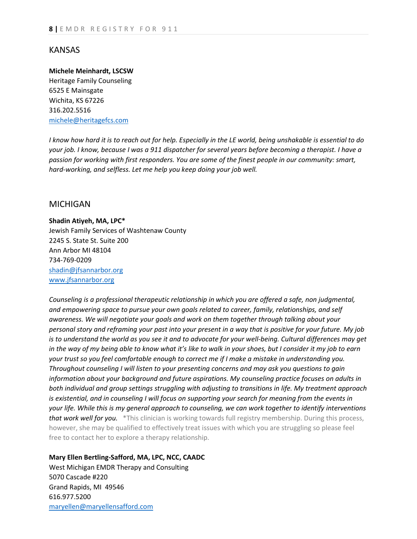#### KANSAS

#### **Michele Meinhardt, LSCSW**

Heritage Family Counseling 6525 E Mainsgate Wichita, KS 67226 316.202.5516 [michele@heritagefcs.com](mailto:michele@heritagefcscom)

*I know how hard it is to reach out for help. Especially in the LE world, being unshakable is essential to do your job. I know, because I was a 911 dispatcher for several years before becoming a therapist. I have a passion for working with first responders. You are some of the finest people in our community: smart, hard-working, and selfless. Let me help you keep doing your job well.*

#### MICHIGAN

**Shadin Atiyeh, MA, LPC\*** Jewish Family Services of Washtenaw County 2245 S. State St. Suite 200 Ann Arbor MI 48104 734-769-0209 [shadin@jfsannarbor.org](mailto:shadin@jfsannarbor.org) [www.jfsannarbor.org](http://www.jfsannarbor.org/)

*Counseling is a professional therapeutic relationship in which you are offered a safe, non judgmental, and empowering space to pursue your own goals related to career, family, relationships, and self awareness. We will negotiate your goals and work on them together through talking about your personal story and reframing your past into your present in a way that is positive for your future. My job is to understand the world as you see it and to advocate for your well-being. Cultural differences may get in the way of my being able to know what it's like to walk in your shoes, but I consider it my job to earn your trust so you feel comfortable enough to correct me if I make a mistake in understanding you. Throughout counseling I will listen to your presenting concerns and may ask you questions to gain information about your background and future aspirations. My counseling practice focuses on adults in both individual and group settings struggling with adjusting to transitions in life. My treatment approach is existential, and in counseling I will focus on supporting your search for meaning from the events in your life. While this is my general approach to counseling, we can work together to identify interventions that work well for you.* \*This clinician is working towards full registry membership. During this process, however, she may be qualified to effectively treat issues with which you are struggling so please feel free to contact her to explore a therapy relationship.

**Mary Ellen Bertling-Safford, MA, LPC, NCC, CAADC**

West Michigan EMDR Therapy and Consulting 5070 Cascade #220 Grand Rapids, MI 49546 616.977.5200 [maryellen@maryellensafford.com](mailto:maryellen@maryellensafford.com)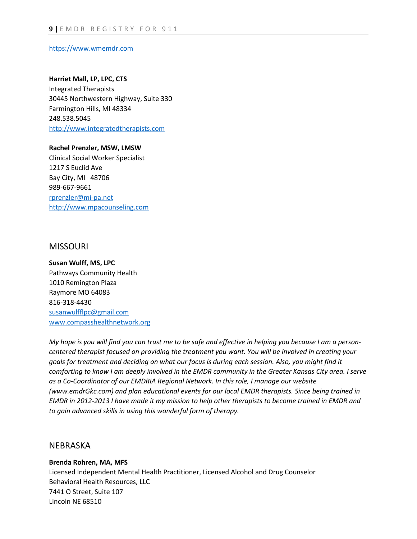[https://www.wmemdr.com](https://www.wmemdr.com/)

#### **Harriet Mall, LP, LPC, CTS**

Integrated Therapists 30445 Northwestern Highway, Suite 330 Farmington Hills, MI 48334 248.538.5045 [http://www.integratedtherapists.com](http://www.integratedtherapists.com/)

**Rachel Prenzler, MSW, LMSW** Clinical Social Worker Specialist 1217 S Euclid Ave Bay City, MI 48706 989-667-9661 [rprenzler@mi-pa.net](mailto:rprenzler@mi-pa.net) [http://www.mpacounseling.com](http://www.mpacounseling.com/)

#### MISSOURI

**Susan Wulff, MS, LPC** Pathways Community Health 1010 Remington Plaza Raymore MO 64083 816-318-4430 [susanwulfflpc@gmail.com](mailto:susanwulfflpc@gmail.com) [www.compasshealthnetwork.org](http://www.compasshealthnetwork.org/)

*My hope is you will find you can trust me to be safe and effective in helping you because I am a personcentered therapist focused on providing the treatment you want. You will be involved in creating your goals for treatment and deciding on what our focus is during each session. Also, you might find it comforting to know I am deeply involved in the EMDR community in the Greater Kansas City area. I serve as a Co-Coordinator of our EMDRIA Regional Network. In this role, I manage our website (www.emdrGkc.com) and plan educational events for our local EMDR therapists. Since being trained in EMDR in 2012-2013 I have made it my mission to help other therapists to become trained in EMDR and to gain advanced skills in using this wonderful form of therapy.*

#### NEBRASKA

#### **Brenda Rohren, MA, MFS**

Licensed Independent Mental Health Practitioner, Licensed Alcohol and Drug Counselor Behavioral Health Resources, LLC 7441 O Street, Suite 107 Lincoln NE 68510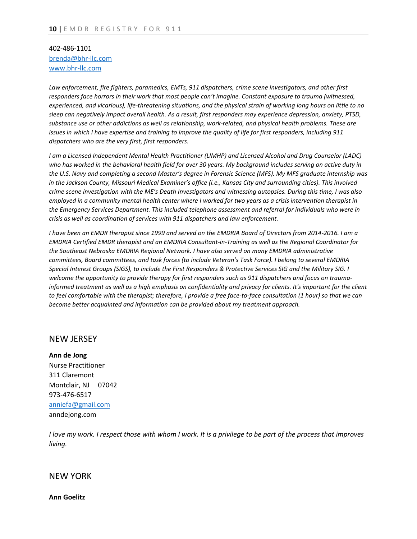#### 402-486-1101 [brenda@bhr-llc.com](mailto:brenda@bhr-llc.com) [www.bhr-llc.com](http://www.bhr-llc.com/)

*Law enforcement, fire fighters, paramedics, EMTs, 911 dispatchers, crime scene investigators, and other first responders face horrors in their work that most people can't imagine. Constant exposure to trauma (witnessed, experienced, and vicarious), life-threatening situations, and the physical strain of working long hours on little to no sleep can negatively impact overall health. As a result, first responders may experience depression, anxiety, PTSD, substance use or other addictions as well as relationship, work-related, and physical health problems. These are issues in which I have expertise and training to improve the quality of life for first responders, including 911 dispatchers who are the very first, first responders.* 

*I am a Licensed Independent Mental Health Practitioner (LIMHP) and Licensed Alcohol and Drug Counselor (LADC) who has worked in the behavioral health field for over 30 years. My background includes serving on active duty in the U.S. Navy and completing a second Master's degree in Forensic Science (MFS). My MFS graduate internship was in the Jackson County, Missouri Medical Examiner's office (i.e., Kansas City and surrounding cities). This involved crime scene investigation with the ME's Death Investigators and witnessing autopsies. During this time, I was also employed in a community mental health center where I worked for two years as a crisis intervention therapist in the Emergency Services Department. This included telephone assessment and referral for individuals who were in crisis as well as coordination of services with 911 dispatchers and law enforcement.* 

*I have been an EMDR therapist since 1999 and served on the EMDRIA Board of Directors from 2014-2016. I am a EMDRIA Certified EMDR therapist and an EMDRIA Consultant-in-Training as well as the Regional Coordinator for the Southeast Nebraska EMDRIA Regional Network. I have also served on many EMDRIA administrative committees, Board committees, and task forces (to include Veteran's Task Force). I belong to several EMDRIA Special Interest Groups (SIGS), to include the First Responders & Protective Services SIG and the Military SIG. I welcome the opportunity to provide therapy for first responders such as 911 dispatchers and focus on traumainformed treatment as well as a high emphasis on confidentiality and privacy for clients. It's important for the client to feel comfortable with the therapist; therefore, I provide a free face-to-face consultation (1 hour) so that we can become better acquainted and information can be provided about my treatment approach.*

#### NEW JERSEY

**Ann de Jong** Nurse Practitioner 311 Claremont Montclair, NJ 07042 973-476-6517 [anniefa@gmail.com](mailto:anniefa@gmail.com) anndejong.com

*I love my work. I respect those with whom I work. It is a privilege to be part of the process that improves living.*

#### NEW YORK

**Ann Goelitz**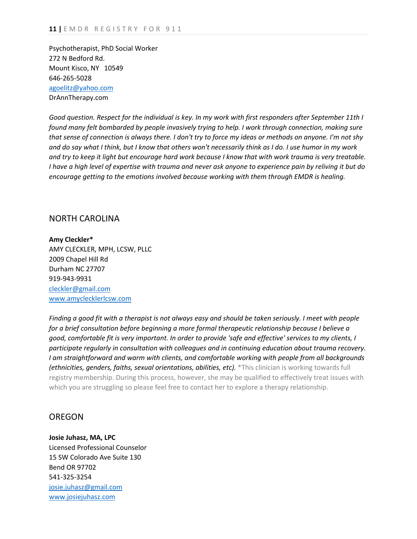Psychotherapist, PhD Social Worker 272 N Bedford Rd. Mount Kisco, NY 10549 646-265-5028 [agoelitz@yahoo.com](mailto:agoelitz@yahoo.com) DrAnnTherapy.com

*Good question. Respect for the individual is key. In my work with first responders after September 11th I found many felt bombarded by people invasively trying to help. I work through connection, making sure that sense of connection is always there. I don't try to force my ideas or methods on anyone. I'm not shy and do say what I think, but I know that others won't necessarily think as I do. I use humor in my work and try to keep it light but encourage hard work because I know that with work trauma is very treatable. I have a high level of expertise with trauma and never ask anyone to experience pain by reliving it but do encourage getting to the emotions involved because working with them through EMDR is healing.*

#### NORTH CAROLINA

**Amy Cleckler\*** AMY CLECKLER, MPH, LCSW, PLLC 2009 Chapel Hill Rd Durham NC 27707 919-943-9931 [cleckler@gmail.com](mailto:cleckler@gmail.com) [www.amyclecklerlcsw.com](http://www.amyclecklerlcsw.com/)

*Finding a good fit with a therapist is not always easy and should be taken seriously. I meet with people for a brief consultation before beginning a more formal therapeutic relationship because I believe a good, comfortable fit is very important. In order to provide 'safe and effective' services to my clients, I participate regularly in consultation with colleagues and in continuing education about trauma recovery. I am straightforward and warm with clients, and comfortable working with people from all backgrounds (ethnicities, genders, faiths, sexual orientations, abilities, etc).* \*This clinician is working towards full registry membership. During this process, however, she may be qualified to effectively treat issues with which you are struggling so please feel free to contact her to explore a therapy relationship.

#### **OREGON**

**Josie Juhasz, MA, LPC** Licensed Professional Counselor 15 SW Colorado Ave Suite 130 Bend OR 97702 541-325-3254 [josie.juhasz@gmail.com](mailto:josie.juhasz@gmail.com) [www.josiejuhasz.com](http://www.josiejuhasz.com/)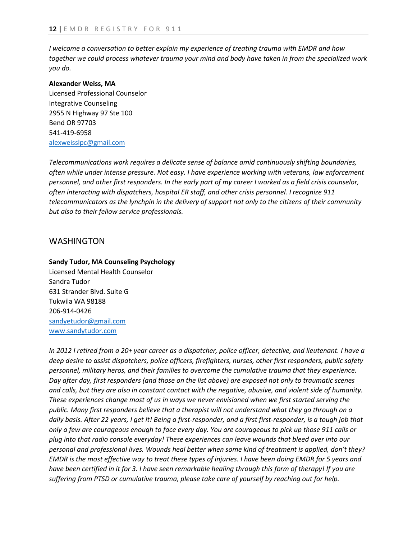*I welcome a conversation to better explain my experience of treating trauma with EMDR and how together we could process whatever trauma your mind and body have taken in from the specialized work you do.*

#### **Alexander Weiss, MA**

Licensed Professional Counselor Integrative Counseling 2955 N Highway 97 Ste 100 Bend OR 97703 541-419-6958 [alexweisslpc@gmail.com](mailto:alexweisslpc@gmail.com)

*Telecommunications work requires a delicate sense of balance amid continuously shifting boundaries, often while under intense pressure. Not easy. I have experience working with veterans, law enforcement personnel, and other first responders. In the early part of my career I worked as a field crisis counselor, often interacting with dispatchers, hospital ER staff, and other crisis personnel. I recognize 911 telecommunicators as the lynchpin in the delivery of support not only to the citizens of their community but also to their fellow service professionals.*

#### WASHINGTON

#### **Sandy Tudor, MA Counseling Psychology**

Licensed Mental Health Counselor Sandra Tudor 631 Strander Blvd. Suite G Tukwila WA 98188 206-914-0426 [sandyetudor@gmail.com](mailto:sandyetudor@gmail.com) [www.sandytudor.com](http://www.sandytudor.com/)

*In 2012 I retired from a 20+ year career as a dispatcher, police officer, detective, and lieutenant. I have a deep desire to assist dispatchers, police officers, firefighters, nurses, other first responders, public safety personnel, military heros, and their families to overcome the cumulative trauma that they experience. Day after day, first responders (and those on the list above) are exposed not only to traumatic scenes and calls, but they are also in constant contact with the negative, abusive, and violent side of humanity. These experiences change most of us in ways we never envisioned when we first started serving the public. Many first responders believe that a therapist will not understand what they go through on a daily basis. After 22 years, I get it! Being a first-responder, and a first first-responder, is a tough job that only a few are courageous enough to face every day. You are courageous to pick up those 911 calls or plug into that radio console everyday! These experiences can leave wounds that bleed over into our personal and professional lives. Wounds heal better when some kind of treatment is applied, don't they? EMDR is the most effective way to treat these types of injuries. I have been doing EMDR for 5 years and have been certified in it for 3. I have seen remarkable healing through this form of therapy! If you are suffering from PTSD or cumulative trauma, please take care of yourself by reaching out for help.*